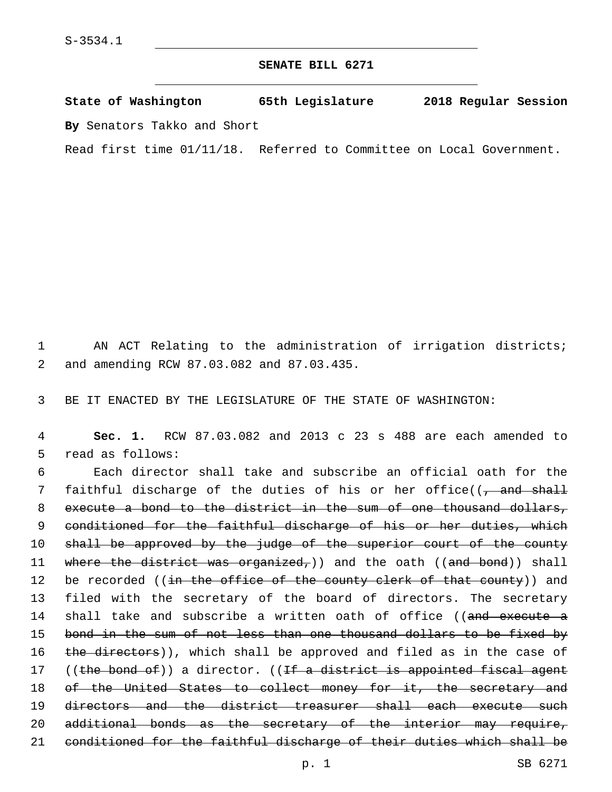## **SENATE BILL 6271**

**State of Washington 65th Legislature 2018 Regular Session By** Senators Takko and Short

Read first time 01/11/18. Referred to Committee on Local Government.

1 AN ACT Relating to the administration of irrigation districts; and amending RCW 87.03.082 and 87.03.435.2

3 BE IT ENACTED BY THE LEGISLATURE OF THE STATE OF WASHINGTON:

4 **Sec. 1.** RCW 87.03.082 and 2013 c 23 s 488 are each amended to 5 read as follows:

6 Each director shall take and subscribe an official oath for the 7 faithful discharge of the duties of his or her office((<del>, and shall</del> 8 execute a bond to the district in the sum of one thousand dollars, 9 conditioned for the faithful discharge of his or her duties, which 10 shall be approved by the judge of the superior court of the county 11 where the district was organized,)) and the oath ((and bond)) shall 12 be recorded ((<del>in the office of the county clerk of that county</del>)) and 13 filed with the secretary of the board of directors. The secretary 14 shall take and subscribe a written oath of office ((and execute a 15 bond in the sum of not less than one thousand dollars to be fixed by 16 the directors)), which shall be approved and filed as in the case of 17 ((the bond of)) a director. ((If a district is appointed fiscal agent 18 of the United States to collect money for it, the secretary and 19 directors and the district treasurer shall each execute such 20 additional bonds as the secretary of the interior may require, 21 conditioned for the faithful discharge of their duties which shall be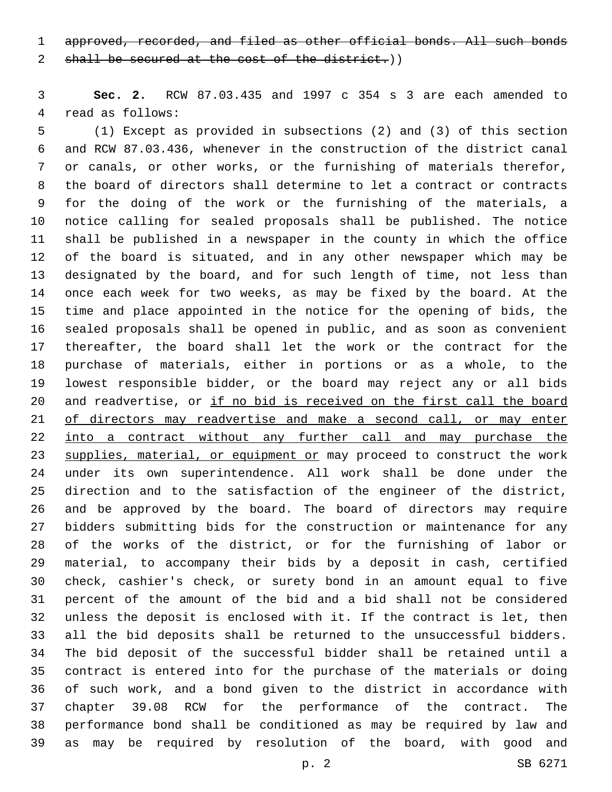approved, recorded, and filed as other official bonds. All such bonds

2 shall be secured at the cost of the district.))

 **Sec. 2.** RCW 87.03.435 and 1997 c 354 s 3 are each amended to 4 read as follows:

 (1) Except as provided in subsections (2) and (3) of this section and RCW 87.03.436, whenever in the construction of the district canal or canals, or other works, or the furnishing of materials therefor, the board of directors shall determine to let a contract or contracts for the doing of the work or the furnishing of the materials, a notice calling for sealed proposals shall be published. The notice shall be published in a newspaper in the county in which the office of the board is situated, and in any other newspaper which may be designated by the board, and for such length of time, not less than once each week for two weeks, as may be fixed by the board. At the time and place appointed in the notice for the opening of bids, the sealed proposals shall be opened in public, and as soon as convenient thereafter, the board shall let the work or the contract for the purchase of materials, either in portions or as a whole, to the lowest responsible bidder, or the board may reject any or all bids 20 and readvertise, or if no bid is received on the first call the board of directors may readvertise and make a second call, or may enter 22 into a contract without any further call and may purchase the 23 supplies, material, or equipment or may proceed to construct the work under its own superintendence. All work shall be done under the direction and to the satisfaction of the engineer of the district, and be approved by the board. The board of directors may require bidders submitting bids for the construction or maintenance for any of the works of the district, or for the furnishing of labor or material, to accompany their bids by a deposit in cash, certified check, cashier's check, or surety bond in an amount equal to five percent of the amount of the bid and a bid shall not be considered unless the deposit is enclosed with it. If the contract is let, then all the bid deposits shall be returned to the unsuccessful bidders. The bid deposit of the successful bidder shall be retained until a contract is entered into for the purchase of the materials or doing of such work, and a bond given to the district in accordance with chapter 39.08 RCW for the performance of the contract. The performance bond shall be conditioned as may be required by law and as may be required by resolution of the board, with good and